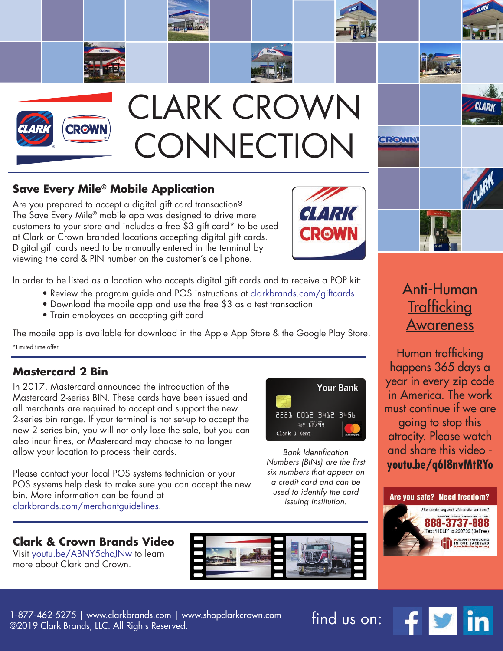

#### **Save Every Mile® Mobile Application**

Are you prepared to accept a digital gift card transaction? The Save Every Mile® mobile app was designed to drive more customers to your store and includes a free \$3 gift card\* to be used at Clark or Crown branded locations accepting digital gift cards. Digital gift cards need to be manually entered in the terminal by viewing the card & PIN number on the customer's cell phone.

In order to be listed as a location who accepts digital gift cards and to receive a POP kit:

- Review the program guide and POS instructions at clarkbrands.com/giftcards
- Download the mobile app and use the free \$3 as a test transaction
- Train employees on accepting gift card

The mobile app is available for download in the Apple App Store & the Google Play Store. \*Limited time offer

#### **Mastercard 2 Bin**

In 2017, Mastercard announced the introduction of the Mastercard 2-series BIN. These cards have been issued and all merchants are required to accept and support the new 2-series bin range. If your terminal is not set-up to accept the new 2 series bin, you will not only lose the sale, but you can also incur fines, or Mastercard may choose to no longer allow your location to process their cards.

Please contact your local POS systems technician or your POS systems help desk to make sure you can accept the new bin. More information can be found at clarkbrands.com/merchantguidelines.



 Visit youtu.be/ABNY5choJNw to learn more about Clark and Crown.



*Bank Identication Numbers (BINs) are the first six numbers that appear on a credit card and can be used to identify the card issuing institution.*



# Anti-Human **Trafficking** Awareness

Human trafficking happens 365 days a year in every zip code in America. The work must continue if we are going to stop this atrocity. Please watch and share this video **youtu.be/q6I8nvMtRYo**